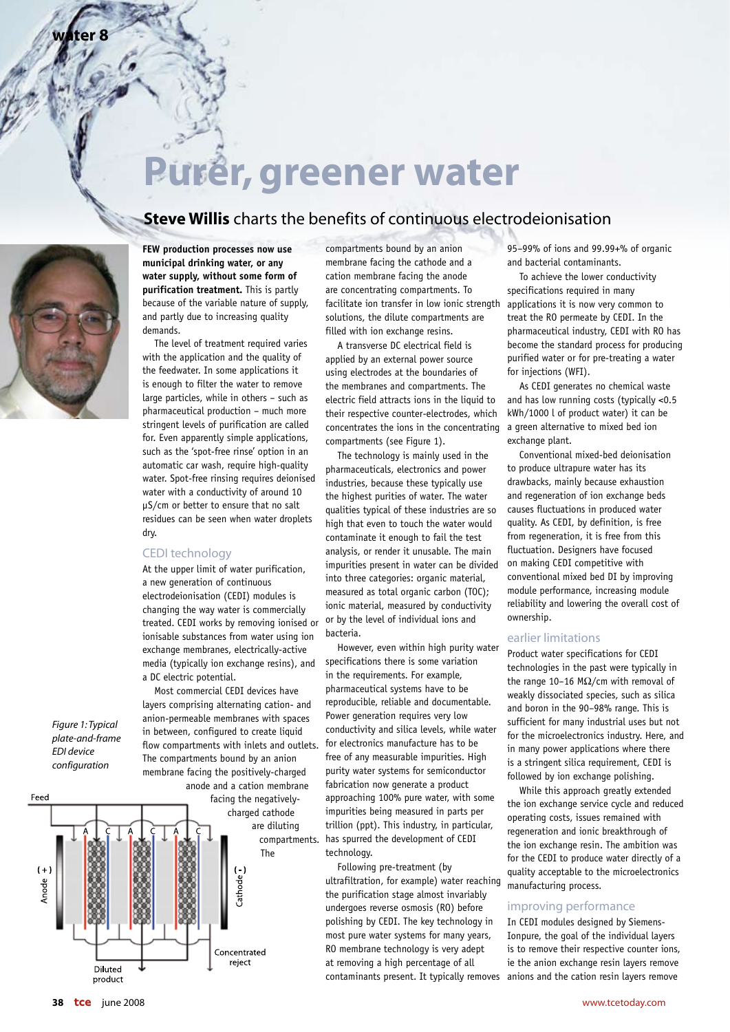# **Purer, greener water**

### **Steve Willis** charts the benefits of continuous electrodeionisation



**water 8**

**FEW production processes now use municipal drinking water, or any water supply, without some form of purification treatment.** This is partly because of the variable nature of supply, and partly due to increasing quality demands.

 The level of treatment required varies with the application and the quality of the feedwater. In some applications it is enough to filter the water to remove large particles, while in others – such as pharmaceutical production – much more stringent levels of purification are called for. Even apparently simple applications, such as the 'spot-free rinse' option in an automatic car wash, require high-quality water. Spot-free rinsing requires deionised water with a conductivity of around 10 µS/cm or better to ensure that no salt residues can be seen when water droplets dry.

#### CEDI technology

At the upper limit of water purification, a new generation of continuous electrodeionisation (CEDI) modules is changing the way water is commercially treated. CEDI works by removing ionised or ionisable substances from water using ion exchange membranes, electrically-active media (typically ion exchange resins), and a DC electric potential.

 Most commercial CEDI devices have layers comprising alternating cation- and anion-permeable membranes with spaces in between, configured to create liquid flow compartments with inlets and outlets. The compartments bound by an anion membrane facing the positively-charged

anode and a cation membrane Feed facing the negativelycharged cathode are diluting compartments. The  $(+)$  $Cathode$ Anode Concentrated reject Diluted product

compartments bound by an anion membrane facing the cathode and a cation membrane facing the anode are concentrating compartments. To facilitate ion transfer in low ionic strength solutions, the dilute compartments are filled with ion exchange resins.

 A transverse DC electrical field is applied by an external power source using electrodes at the boundaries of the membranes and compartments. The electric field attracts ions in the liquid to their respective counter-electrodes, which concentrates the ions in the concentrating compartments (see Figure 1).

 The technology is mainly used in the pharmaceuticals, electronics and power industries, because these typically use the highest purities of water. The water qualities typical of these industries are so high that even to touch the water would contaminate it enough to fail the test analysis, or render it unusable. The main impurities present in water can be divided into three categories: organic material, measured as total organic carbon (TOC); ionic material, measured by conductivity or by the level of individual ions and bacteria.

 However, even within high purity water specifications there is some variation in the requirements. For example, pharmaceutical systems have to be reproducible, reliable and documentable. Power generation requires very low conductivity and silica levels, while water for electronics manufacture has to be free of any measurable impurities. High purity water systems for semiconductor fabrication now generate a product approaching 100% pure water, with some impurities being measured in parts per trillion (ppt). This industry, in particular, has spurred the development of CEDI technology.

 Following pre-treatment (by ultrafiltration, for example) water reaching the purification stage almost invariably undergoes reverse osmosis (RO) before polishing by CEDI. The key technology in most pure water systems for many years, RO membrane technology is very adept at removing a high percentage of all

95–99% of ions and 99.99+% of organic and bacterial contaminants.

 To achieve the lower conductivity specifications required in many applications it is now very common to treat the RO permeate by CEDI. In the pharmaceutical industry, CEDI with RO has become the standard process for producing purified water or for pre-treating a water for injections (WFI).

 As CEDI generates no chemical waste and has low running costs (typically <0.5 kWh/1000 l of product water) it can be a green alternative to mixed bed ion exchange plant.

 Conventional mixed-bed deionisation to produce ultrapure water has its drawbacks, mainly because exhaustion and regeneration of ion exchange beds causes fluctuations in produced water quality. As CEDI, by definition, is free from regeneration, it is free from this fluctuation. Designers have focused on making CEDI competitive with conventional mixed bed DI by improving module performance, increasing module reliability and lowering the overall cost of ownership.

#### earlier limitations

Product water specifications for CEDI technologies in the past were typically in the range 10–16 MΩ/cm with removal of weakly dissociated species, such as silica and boron in the 90–98% range. This is sufficient for many industrial uses but not for the microelectronics industry. Here, and in many power applications where there is a stringent silica requirement, CEDI is followed by ion exchange polishing.

 While this approach greatly extended the ion exchange service cycle and reduced operating costs, issues remained with regeneration and ionic breakthrough of the ion exchange resin. The ambition was for the CEDI to produce water directly of a quality acceptable to the microelectronics manufacturing process.

#### improving performance

contaminants present. It typically removes anions and the cation resin layers remove In CEDI modules designed by Siemens-Ionpure, the goal of the individual layers is to remove their respective counter ions, ie the anion exchange resin layers remove

## *EDI device configuration*

*Figure 1: Typical plate-and-frame*